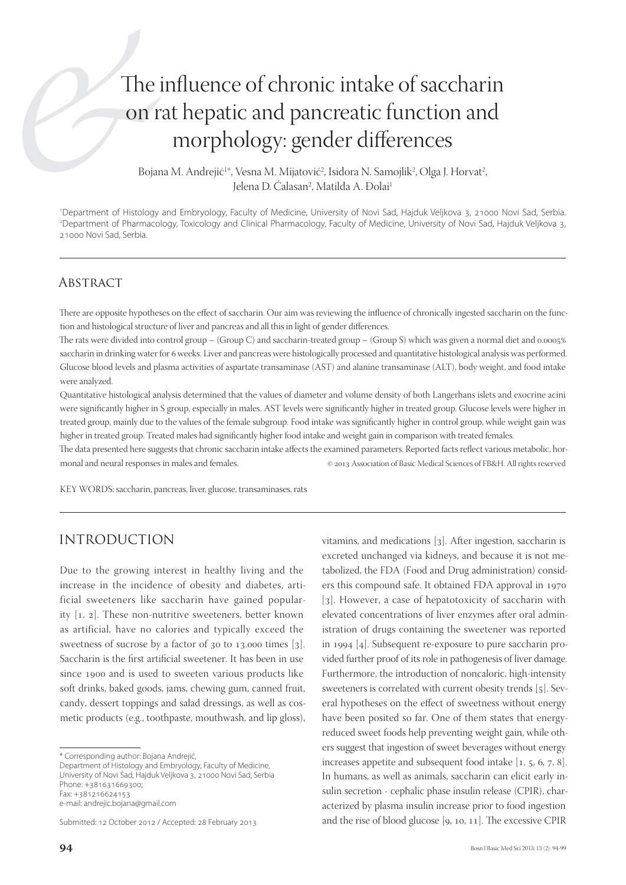# The influence of chronic intake of saccharin on rat hepatic and pancreatic function and morphology: gender differences

Bojana M. Andrejić<sup>1</sup>\*, Vesna M. Mijatović<sup>2</sup>, Isidora N. Samojlik<sup>2</sup>, Olga J. Horvat<sup>2</sup>, Jelena D. Ćalasan<sup>2</sup>, Matilda A. Đolai<sup>1</sup>

1 Department of Histology and Embryology, Faculty of Medicine, University of Novi Sad, Hajduk Veljkova 3, 21000 Novi Sad, Serbia. 2 Department of Pharmacology, Toxicology and Clinical Pharmacology, Faculty of Medicine, University of Novi Sad, Hajduk Veljkova 3, 21000 Novi Sad, Serbia.

#### **ABSTRACT**

There are opposite hypotheses on the effect of saccharin. Our aim was reviewing the influence of chronically ingested saccharin on the function and histological structure of liver and pancreas and all this in light of gender differences.

The rats were divided into control group – (Group C) and saccharin-treated group – (Group S) which was given a normal diet and 0.0005% saccharin in drinking water for weeks. Liver and pancreas were histologically processed and quantitative histological analysis was performed. Glucose blood levels and plasma activities of aspartate transaminase (AST) and alanine transaminase (ALT), body weight, and food intake were analyzed.

Quantitative histological analysis determined that the values of diameter and volume density of both Langerhans islets and exocrine acini were significantly higher in S group, especially in males. AST levels were significantly higher in treated group. Glucose levels were higher in treated group, mainly due to the values of the female subgroup. Food intake was significantly higher in control group, while weight gain was higher in treated group. Treated males had significantly higher food intake and weight gain in comparison with treated females.

The data presented here suggests that chronic saccharin intake affects the examined parameters. Reported facts reflect various metabolic, hormonal and neural responses in males and females.  $\otimes$  2013 Association of Basic Medical Sciences of FB&H. All rights reserved

KEY WORDS: saccharin, pancreas, liver, glucose, transaminases, rats

### INTRODUCTION

Due to the growing interest in healthy living and the increase in the incidence of obesity and diabetes, artificial sweeteners like saccharin have gained popularity  $[1, 2]$ . These non-nutritive sweeteners, better known as artificial, have no calories and typically exceed the sweetness of sucrose by a factor of  $30$  to 13.000 times [ $3$ ]. Saccharin is the first artificial sweetener. It has been in use since 1900 and is used to sweeten various products like soft drinks, baked goods, jams, chewing gum, canned fruit, candy, dessert toppings and salad dressings, as well as cosmetic products (e.g., toothpaste, mouthwash, and lip gloss),

Department of Histology and Embryology, Faculty of Medicine, University of Novi Sad, Hajduk Veljkova 3, 21000 Novi Sad, Serbia Phone: +381631669300; Fax: +381216624153 e-mail: andrejic.bojana@gmail.com

Submitted: 12 October 2012 / Accepted: 28 February 2013

vitamins, and medications  $[g]$ . After ingestion, saccharin is excreted unchanged via kidneys, and because it is not metabolized, the FDA (Food and Drug administration) considers this compound safe. It obtained FDA approval in [3]. However, a case of hepatotoxicity of saccharin with elevated concentrations of liver enzymes after oral administration of drugs containing the sweetener was reported in 1994  $[4]$ . Subsequent re-exposure to pure saccharin provided further proof of its role in pathogenesis of liver damage. Furthermore, the introduction of noncaloric, high-intensity sweeteners is correlated with current obesity trends [5]. Several hypotheses on the effect of sweetness without energy have been posited so far. One of them states that energyreduced sweet foods help preventing weight gain, while others suggest that ingestion of sweet beverages without energy increases appetite and subsequent food intake  $[1, 5, 6, 7, 8]$ . In humans, as well as animals, saccharin can elicit early insulin secretion - cephalic phase insulin release (CPIR), characterized by plasma insulin increase prior to food ingestion and the rise of blood glucose  $[g, 10, 11]$ . The excessive CPIR

<sup>\*</sup> Corresponding author: Bojana Andrejić,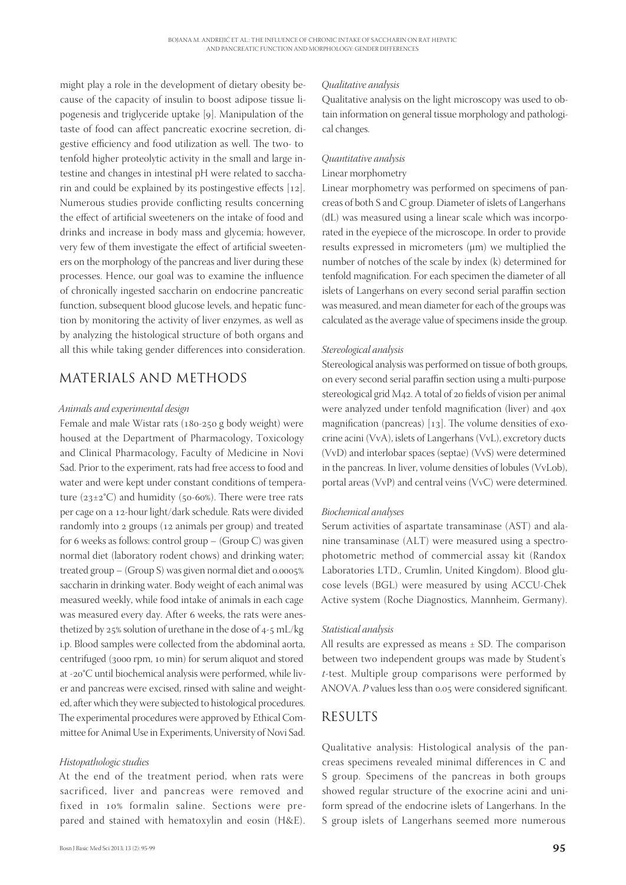might play a role in the development of dietary obesity because of the capacity of insulin to boost adipose tissue lipogenesis and triglyceride uptake [9]. Manipulation of the taste of food can affect pancreatic exocrine secretion, digestive efficiency and food utilization as well. The two- to tenfold higher proteolytic activity in the small and large intestine and changes in intestinal pH were related to saccharin and could be explained by its postingestive effects  $[12]$ . Numerous studies provide conflicting results concerning the effect of artificial sweeteners on the intake of food and drinks and increase in body mass and glycemia; however, very few of them investigate the effect of artificial sweeteners on the morphology of the pancreas and liver during these processes. Hence, our goal was to examine the influence of chronically ingested saccharin on endocrine pancreatic function, subsequent blood glucose levels, and hepatic function by monitoring the activity of liver enzymes, as well as by analyzing the histological structure of both organs and all this while taking gender differences into consideration.

# MATERIALS AND METHODS

#### *Animals and experimental design*

Female and male Wistar rats (180-250 g body weight) were housed at the Department of Pharmacology, Toxicology and Clinical Pharmacology, Faculty of Medicine in Novi Sad. Prior to the experiment, rats had free access to food and water and were kept under constant conditions of temperature  $(23\pm2\degree C)$  and humidity (50-60%). There were tree rats per cage on a 12-hour light/dark schedule. Rats were divided randomly into 2 groups (12 animals per group) and treated for 6 weeks as follows: control group  $-$  (Group C) was given normal diet (laboratory rodent chows) and drinking water; treated group  $-$  (Group S) was given normal diet and  $0.0005\%$ saccharin in drinking water. Body weight of each animal was measured weekly, while food intake of animals in each cage was measured every day. After 6 weeks, the rats were anesthetized by 25% solution of urethane in the dose of 4-5 mL/kg i.p. Blood samples were collected from the abdominal aorta, centrifuged (3000 rpm, 10 min) for serum aliquot and stored at -20°C until biochemical analysis were performed, while liver and pancreas were excised, rinsed with saline and weighted, after which they were subjected to histological procedures. The experimental procedures were approved by Ethical Committee for Animal Use in Experiments, University of Novi Sad.

#### *Histopathologic studies*

At the end of the treatment period, when rats were sacrificed, liver and pancreas were removed and fixed in 10% formalin saline. Sections were prepared and stained with hematoxylin and eosin (H&E).

#### *Qualitative analysis*

Qualitative analysis on the light microscopy was used to obtain information on general tissue morphology and pathological changes.

## *Quantitative analysis*

#### Linear morphometry

Linear morphometry was performed on specimens of pancreas of both S and C group. Diameter of islets of Langerhans (dL) was measured using a linear scale which was incorporated in the eyepiece of the microscope. In order to provide results expressed in micrometers (μm) we multiplied the number of notches of the scale by index (k) determined for tenfold magnification. For each specimen the diameter of all islets of Langerhans on every second serial paraffin section was measured, and mean diameter for each of the groups was calculated as the average value of specimens inside the group.

#### *Stereological analysis*

Stereological analysis was performed on tissue of both groups, on every second serial paraffin section using a multi-purpose stereological grid M42. A total of 20 fields of vision per animal were analyzed under tenfold magnification (liver) and 40x magnification (pancreas)  $[13]$ . The volume densities of exocrine acini (VvA), islets of Langerhans (VvL), excretory ducts (VvD) and interlobar spaces (septae) (VvS) were determined in the pancreas. In liver, volume densities of lobules (VvLob), portal areas (VvP) and central veins (VvC) were determined.

#### *Biochemical analyses*

Serum activities of aspartate transaminase (AST) and alanine transaminase (ALT) were measured using a spectrophotometric method of commercial assay kit (Randox Laboratories LTD., Crumlin, United Kingdom). Blood glucose levels (BGL) were measured by using ACCU-Chek Active system (Roche Diagnostics, Mannheim, Germany).

#### *Statistical analysis*

All results are expressed as means  $\pm$  SD. The comparison between two independent groups was made by Student's *t*-test. Multiple group comparisons were performed by ANOVA. *P* values less than 0.05 were considered significant.

## RESULTS

Qualitative analysis: Histological analysis of the pancreas specimens revealed minimal differences in C and S group. Specimens of the pancreas in both groups showed regular structure of the exocrine acini and uniform spread of the endocrine islets of Langerhans. In the S group islets of Langerhans seemed more numerous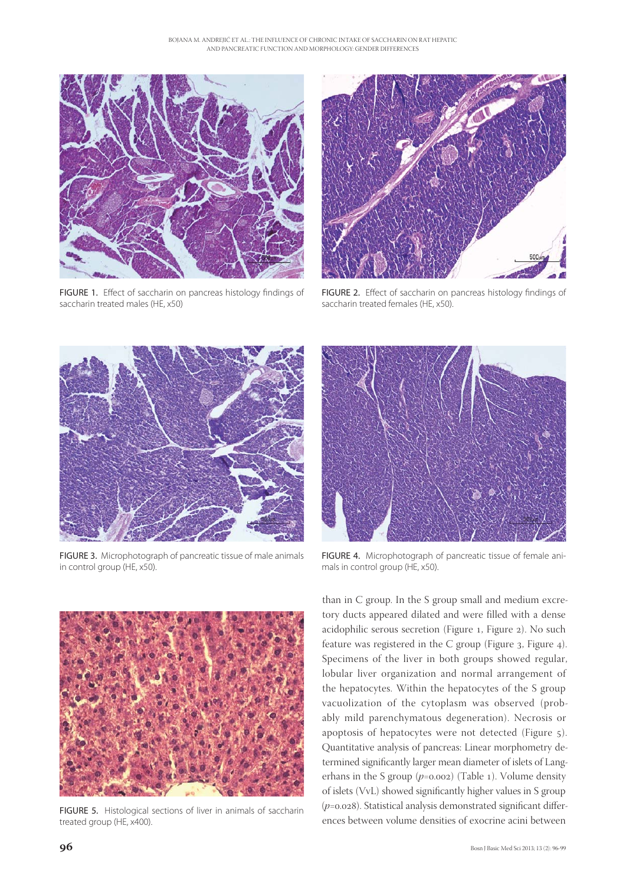

FIGURE 1. Effect of saccharin on pancreas histology findings of saccharin treated males (HE, x50)



FIGURE 2. Effect of saccharin on pancreas histology findings of saccharin treated females (HE, x50).



FIGURE 3. Microphotograph of pancreatic tissue of male animals in control group (HE, x50).



FIGURE 4. Microphotograph of pancreatic tissue of female animals in control group (HE, x50).



FIGURE 5. Histological sections of liver in animals of saccharin treated group (HE, x400).

than in C group. In the S group small and medium excretory ducts appeared dilated and were filled with a dense acidophilic serous secretion (Figure 1, Figure 2). No such feature was registered in the C group (Figure  $3$ , Figure  $4$ ). Specimens of the liver in both groups showed regular, lobular liver organization and normal arrangement of the hepatocytes. Within the hepatocytes of the S group vacuolization of the cytoplasm was observed (probably mild parenchymatous degeneration). Necrosis or apoptosis of hepatocytes were not detected (Figure ). Quantitative analysis of pancreas: Linear morphometry determined significantly larger mean diameter of islets of Langerhans in the S group  $(p=0.002)$  (Table 1). Volume density of islets (VvL) showed significantly higher values in S group  $(p=0.028)$ . Statistical analysis demonstrated significant differences between volume densities of exocrine acini between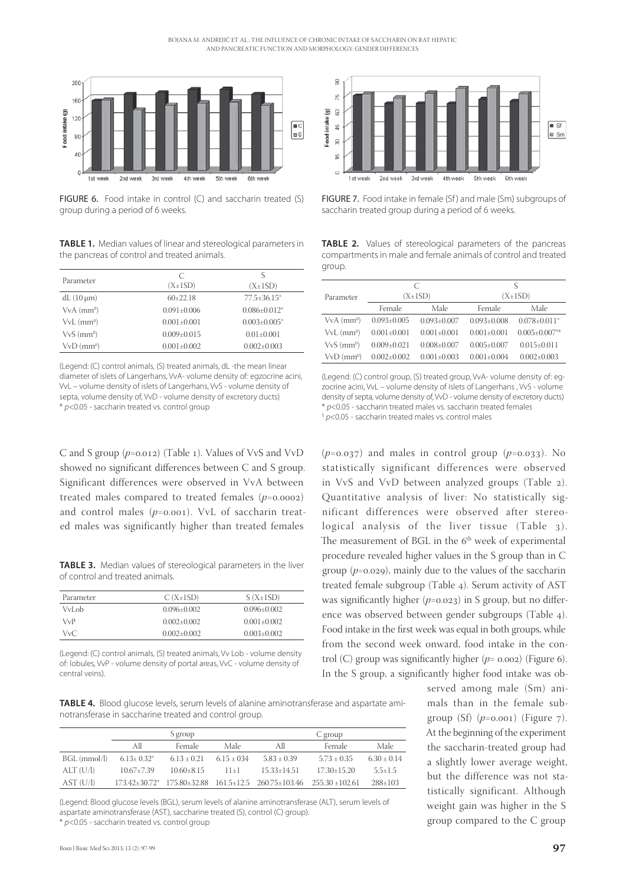

FIGURE 6. Food intake in control (C) and saccharin treated (S) group during a period of 6 weeks.

**TABLE 1.** Median values of linear and stereological parameters in the pancreas of control and treated animals.

|                          | C                 | S                   |
|--------------------------|-------------------|---------------------|
| Parameter                | $(X \pm 1SD)$     | (X±1SD)             |
| $dL(10 \mu m)$           | $60+22.18$        | $77.5 \pm 36.15^*$  |
| $VvA$ ( $mm0$ )          | $0.091 \pm 0.006$ | $0.086 \pm 0.012$ * |
| $VvL$ ( $mm0$ )          | $0.001 + 0.001$   | $0.003 \pm 0.005$ * |
| $VvS$ ( $mm0$ )          | $0.009 + 0.015$   | $0.01 + 0.001$      |
| $VvD$ (mm <sup>o</sup> ) | $0.001 \pm 0.002$ | $0.002 \pm 0.003$   |

(Legend: (C) control animals, (S) treated animals, dL -the mean linear diameter of islets of Langerhans, VvA- volume density of: egzocrine acini, VvL – volume density of islets of Langerhans, VvS - volume density of septa, volume density of, VvD - volume density of excretory ducts)  $*$   $p$ <0.05 - saccharin treated vs. control group

C and S group  $(p=0.012)$  (Table 1). Values of VvS and VvD showed no significant differences between C and S group. Significant differences were observed in VvA between treated males compared to treated females  $(p=0.0002)$ and control males  $(p=0.001)$ . VvL of saccharin treated males was significantly higher than treated females

**TABLE 3.** Median values of stereological parameters in the liver of control and treated animals.

| Parameter | $C(X\pm 1SD)$   | $S(X\pm 1SD)$   |
|-----------|-----------------|-----------------|
| VvLob-    | $0.096 + 0.002$ | $0.096 + 0.002$ |
| VvP       | $0.002 + 0.002$ | $0.001 + 0.002$ |
| VvC.      | $0.002 + 0.002$ | $0.003 + 0.002$ |

(Legend: (C) control animals, (S) treated animals, Vv Lob - volume density of: lobules, VvP - volume density of portal areas, VvC - volume density of central veins).

**TABLE 4.** Blood glucose levels, serum levels of alanine aminotransferase and aspartate aminotransferase in saccharine treated and control group.

|              | S group                       |                 | C group       |                                                         |                     |                 |
|--------------|-------------------------------|-----------------|---------------|---------------------------------------------------------|---------------------|-----------------|
|              | Аll                           | Female          | Male          | All                                                     | Female              | Male            |
| BGL (mmol/l) | $6.13 \pm 0.32^*$             | $6.13 \pm 0.21$ | $6.15 + 0.34$ | $5.83 + 0.39$                                           | $5.73 + 0.35$       | $6.30 \pm 0.14$ |
| ALT(U/l)     | $10.67 + 7.39$                | $10.60 + 8.15$  | $11+1$        | $15.33 + 14.51$                                         | $17.30 + 15.20$     | $5.5 \pm 1.5$   |
| AST (U/I)    | $173.42 + 30.72$ <sup>*</sup> |                 |               | $175.80 \pm 32.88$ $161.5 \pm 12.5$ $260.75 \pm 103.46$ | $255.30 \pm 102.61$ | $288 \pm 103$   |

(Legend: Blood glucose levels (BGL), serum levels of alanine aminotransferase (ALT), serum levels of aspartate aminotransferase (AST), saccharine treated (S), control (C) group).  $*$   $p$ <0.05 - saccharin treated vs. control group



FIGURE 7. Food intake in female (Sf) and male (Sm) subgroups of saccharin treated group during a period of 6 weeks.

**TABLE 2.** Values of stereological parameters of the pancreas compartments in male and female animals of control and treated group.

|                          | C                 |                   | S                 |                                |
|--------------------------|-------------------|-------------------|-------------------|--------------------------------|
| Parameter                | (X±1SD)           |                   | $(X \pm 1SD)$     |                                |
|                          | Female            | Male              | Female            | Male                           |
| $VvA$ ( $mm0$ )          | $0.093 \pm 0.005$ | $0.093 + 0.007$   | $0.093 + 0.008$   | $0.078 \pm 0.011$ <sup>*</sup> |
| $VvL$ ( $mm0$ )          | $0.001 + 0.001$   | $0.001 + 0.001$   | $0.001 + 0.001$   | $0.005 + 0.007$ <sup>*</sup>   |
| $VvS$ ( $mm0$ )          | $0.009 + 0.021$   | $0.008 + 0.007$   | $0.005 + 0.007$   | $0.015+0.011$                  |
| $VvD$ (mm <sup>0</sup> ) | $0.002 \pm 0.002$ | $0.001 \pm 0.003$ | $0.001 \pm 0.004$ | $0.002 \pm 0.003$              |

(Legend: (C) control group, (S) treated group, VvA- volume density of: egzocrine acini, VvL – volume density of islets of Langerhans , VvS - volume density of septa, volume density of, VvD - volume density of excretory ducts)  $*$  p<0.05 - saccharin treated males vs. saccharin treated females  $6 p$ <0.05 - saccharin treated males vs. control males

 $(p=0.037)$  and males in control group  $(p=0.033)$ . No statistically significant differences were observed in VvS and VvD between analyzed groups (Table 2). Quantitative analysis of liver: No statistically significant differences were observed after stereological analysis of the liver tissue (Table 3). The measurement of BGL in the 6<sup>th</sup> week of experimental procedure revealed higher values in the S group than in C group  $(p=0.029)$ , mainly due to the values of the saccharin treated female subgroup (Table 4). Serum activity of AST was significantly higher  $(p=0.023)$  in S group, but no difference was observed between gender subgroups (Table 4). Food intake in the first week was equal in both groups, while from the second week onward, food intake in the control (C) group was significantly higher  $(p = 0.002)$  (Figure 6). In the S group, a significantly higher food intake was ob-

> served among male (Sm) animals than in the female subgroup (Sf)  $(p=0.001)$  (Figure 7). At the beginning of the experiment the saccharin-treated group had a slightly lower average weight, but the difference was not statistically significant. Although weight gain was higher in the S group compared to the C group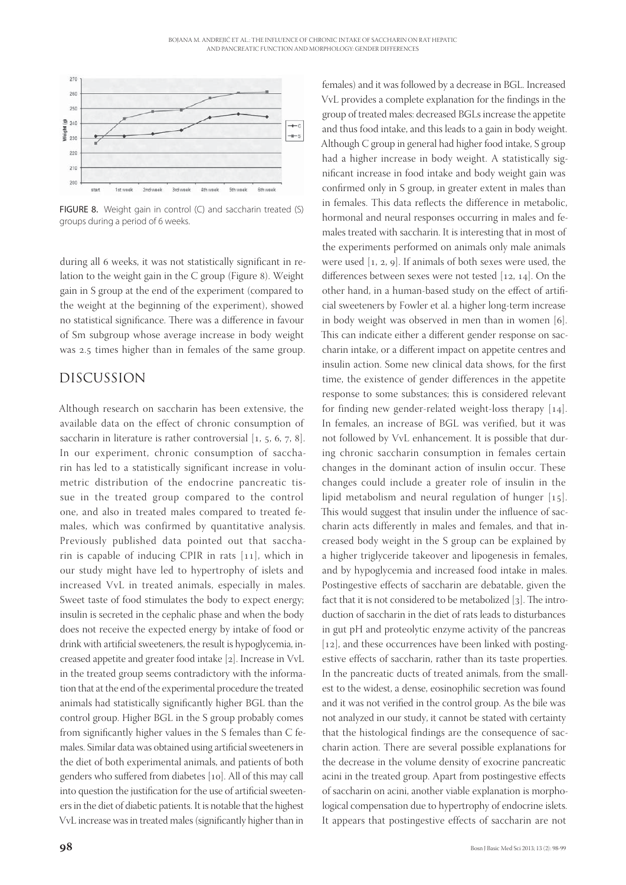

FIGURE 8. Weight gain in control (C) and saccharin treated (S) groups during a period of 6 weeks.

during all 6 weeks, it was not statistically significant in relation to the weight gain in the  $C$  group (Figure 8). Weight gain in S group at the end of the experiment (compared to the weight at the beginning of the experiment), showed no statistical significance. There was a difference in favour of Sm subgroup whose average increase in body weight was 2.5 times higher than in females of the same group.

## DISCUSSION

Although research on saccharin has been extensive, the available data on the effect of chronic consumption of saccharin in literature is rather controversial  $[1, 5, 6, 7, 8]$ . In our experiment, chronic consumption of saccharin has led to a statistically significant increase in volumetric distribution of the endocrine pancreatic tissue in the treated group compared to the control one, and also in treated males compared to treated females, which was confirmed by quantitative analysis. Previously published data pointed out that saccharin is capable of inducing CPIR in rats  $[11]$ , which in our study might have led to hypertrophy of islets and increased VvL in treated animals, especially in males. Sweet taste of food stimulates the body to expect energy; insulin is secreted in the cephalic phase and when the body does not receive the expected energy by intake of food or drink with artificial sweeteners, the result is hypoglycemia, increased appetite and greater food intake [2]. Increase in VvL in the treated group seems contradictory with the information that at the end of the experimental procedure the treated animals had statistically significantly higher BGL than the control group. Higher BGL in the S group probably comes from significantly higher values in the S females than  $C$  females. Similar data was obtained using artificial sweeteners in the diet of both experimental animals, and patients of both genders who suffered from diabetes [10]. All of this may call into question the justification for the use of artificial sweeteners in the diet of diabetic patients. It is notable that the highest VvL increase was in treated males (significantly higher than in

females) and it was followed by a decrease in BGL. Increased VvL provides a complete explanation for the findings in the group of treated males: decreased BGLs increase the appetite and thus food intake, and this leads to a gain in body weight. Although C group in general had higher food intake, S group had a higher increase in body weight. A statistically significant increase in food intake and body weight gain was confirmed only in S group, in greater extent in males than in females. This data reflects the difference in metabolic, hormonal and neural responses occurring in males and females treated with saccharin. It is interesting that in most of the experiments performed on animals only male animals were used  $[1, 2, 9]$ . If animals of both sexes were used, the differences between sexes were not tested  $[12, 14]$ . On the other hand, in a human-based study on the effect of artificial sweeteners by Fowler et al. a higher long-term increase in body weight was observed in men than in women  $[6]$ . This can indicate either a different gender response on saccharin intake, or a different impact on appetite centres and insulin action. Some new clinical data shows, for the first time, the existence of gender differences in the appetite response to some substances; this is considered relevant for finding new gender-related weight-loss therapy  $[14]$ . In females, an increase of BGL was verified, but it was not followed by VvL enhancement. It is possible that during chronic saccharin consumption in females certain changes in the dominant action of insulin occur. These changes could include a greater role of insulin in the lipid metabolism and neural regulation of hunger  $[15]$ . This would suggest that insulin under the influence of saccharin acts differently in males and females, and that increased body weight in the S group can be explained by a higher triglyceride takeover and lipogenesis in females, and by hypoglycemia and increased food intake in males. Postingestive effects of saccharin are debatable, given the fact that it is not considered to be metabolized  $[3]$ . The introduction of saccharin in the diet of rats leads to disturbances in gut pH and proteolytic enzyme activity of the pancreas [12], and these occurrences have been linked with postingestive effects of saccharin, rather than its taste properties. In the pancreatic ducts of treated animals, from the smallest to the widest, a dense, eosinophilic secretion was found and it was not verified in the control group. As the bile was not analyzed in our study, it cannot be stated with certainty that the histological findings are the consequence of saccharin action. There are several possible explanations for the decrease in the volume density of exocrine pancreatic acini in the treated group. Apart from postingestive effects of saccharin on acini, another viable explanation is morphological compensation due to hypertrophy of endocrine islets. It appears that postingestive effects of saccharin are not